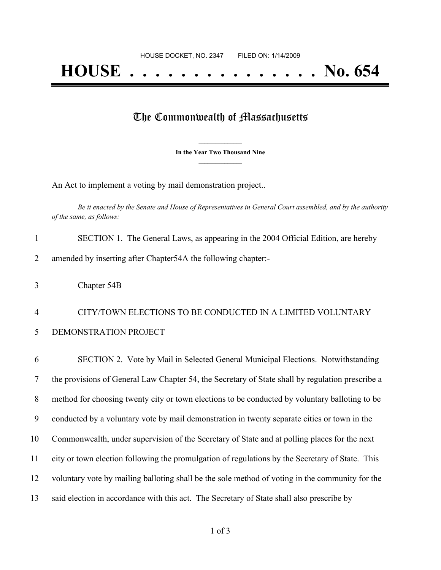## The Commonwealth of Massachusetts

**\_\_\_\_\_\_\_\_\_\_\_\_\_\_\_ In the Year Two Thousand Nine \_\_\_\_\_\_\_\_\_\_\_\_\_\_\_**

An Act to implement a voting by mail demonstration project..

Be it enacted by the Senate and House of Representatives in General Court assembled, and by the authority *of the same, as follows:*

| SECTION 1. The General Laws, as appearing in the 2004 Official Edition, are hereby |
|------------------------------------------------------------------------------------|
| amended by inserting after Chapter 54A the following chapter:-                     |

4 CITY/TOWN ELECTIONS TO BE CONDUCTED IN A LIMITED VOLUNTARY 5 DEMONSTRATION PROJECT

 SECTION 2. Vote by Mail in Selected General Municipal Elections. Notwithstanding the provisions of General Law Chapter 54, the Secretary of State shall by regulation prescribe a method for choosing twenty city or town elections to be conducted by voluntary balloting to be conducted by a voluntary vote by mail demonstration in twenty separate cities or town in the Commonwealth, under supervision of the Secretary of State and at polling places for the next city or town election following the promulgation of regulations by the Secretary of State. This voluntary vote by mailing balloting shall be the sole method of voting in the community for the 13 said election in accordance with this act. The Secretary of State shall also prescribe by

<sup>3</sup> Chapter 54B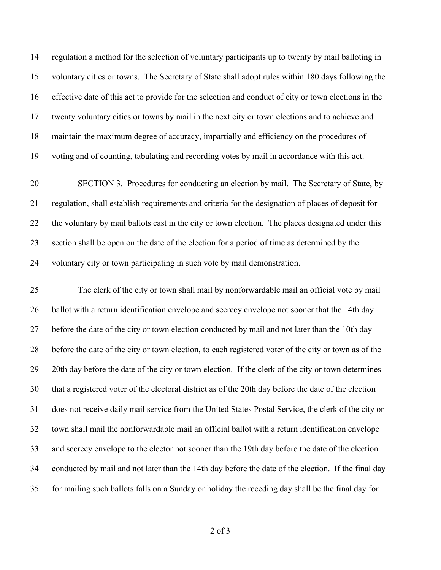regulation a method for the selection of voluntary participants up to twenty by mail balloting in voluntary cities or towns. The Secretary of State shall adopt rules within 180 days following the effective date of this act to provide for the selection and conduct of city or town elections in the twenty voluntary cities or towns by mail in the next city or town elections and to achieve and maintain the maximum degree of accuracy, impartially and efficiency on the procedures of voting and of counting, tabulating and recording votes by mail in accordance with this act.

 SECTION 3. Procedures for conducting an election by mail. The Secretary of State, by regulation, shall establish requirements and criteria for the designation of places of deposit for the voluntary by mail ballots cast in the city or town election. The places designated under this section shall be open on the date of the election for a period of time as determined by the voluntary city or town participating in such vote by mail demonstration.

 The clerk of the city or town shall mail by nonforwardable mail an official vote by mail ballot with a return identification envelope and secrecy envelope not sooner that the 14th day 27 before the date of the city or town election conducted by mail and not later than the 10th day before the date of the city or town election, to each registered voter of the city or town as of the 29 20th day before the date of the city or town election. If the clerk of the city or town determines that a registered voter of the electoral district as of the 20th day before the date of the election does not receive daily mail service from the United States Postal Service, the clerk of the city or town shall mail the nonforwardable mail an official ballot with a return identification envelope and secrecy envelope to the elector not sooner than the 19th day before the date of the election conducted by mail and not later than the 14th day before the date of the election. If the final day for mailing such ballots falls on a Sunday or holiday the receding day shall be the final day for

of 3